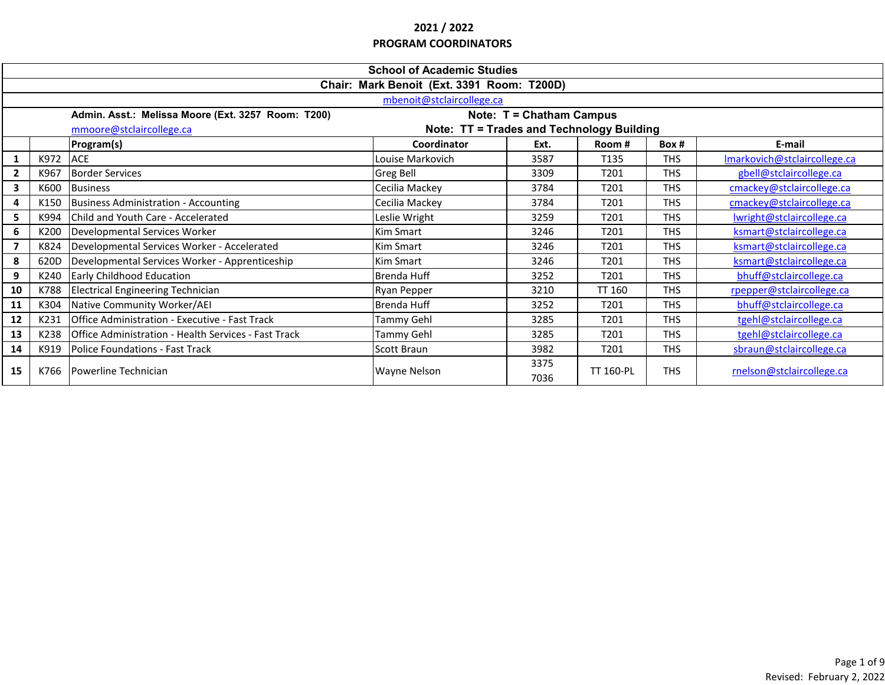|                                                                       | <b>School of Academic Studies</b>                                              |                                                      |                  |              |                  |            |                              |  |  |
|-----------------------------------------------------------------------|--------------------------------------------------------------------------------|------------------------------------------------------|------------------|--------------|------------------|------------|------------------------------|--|--|
|                                                                       | Chair: Mark Benoit (Ext. 3391 Room: T200D)                                     |                                                      |                  |              |                  |            |                              |  |  |
|                                                                       | mbenoit@stclaircollege.ca                                                      |                                                      |                  |              |                  |            |                              |  |  |
|                                                                       | Note: T = Chatham Campus<br>Admin. Asst.: Melissa Moore (Ext. 3257 Room: T200) |                                                      |                  |              |                  |            |                              |  |  |
| Note: TT = Trades and Technology Building<br>mmoore@stclaircollege.ca |                                                                                |                                                      |                  |              |                  |            |                              |  |  |
|                                                                       |                                                                                | Program(s)                                           | Coordinator      | Ext.         | Room#            | Box#       | E-mail                       |  |  |
|                                                                       | K972                                                                           | <b>ACE</b>                                           | Louise Markovich | 3587         | T135             | <b>THS</b> | Imarkovich@stclaircollege.ca |  |  |
| $\overline{2}$                                                        | K967                                                                           | <b>Border Services</b>                               | Greg Bell        | 3309         | T <sub>201</sub> | <b>THS</b> | gbell@stclaircollege.ca      |  |  |
| 3                                                                     | K600                                                                           | <b>Business</b>                                      | Cecilia Mackey   | 3784         | T <sub>201</sub> | <b>THS</b> | cmackey@stclaircollege.ca    |  |  |
| 4                                                                     | K150                                                                           | Business Administration - Accounting                 | Cecilia Mackey   | 3784         | T201             | <b>THS</b> | cmackey@stclaircollege.ca    |  |  |
| 5                                                                     | K994                                                                           | Child and Youth Care - Accelerated                   | Leslie Wright    | 3259         | T201             | <b>THS</b> | Iwright@stclaircollege.ca    |  |  |
| 6                                                                     | K200                                                                           | Developmental Services Worker                        | Kim Smart        | 3246         | T <sub>201</sub> | <b>THS</b> | ksmart@stclaircollege.ca     |  |  |
| $\overline{7}$                                                        | K824                                                                           | Developmental Services Worker - Accelerated          | Kim Smart        | 3246         | T201             | <b>THS</b> | ksmart@stclaircollege.ca     |  |  |
| 8                                                                     | 620D                                                                           | Developmental Services Worker - Apprenticeship       | Kim Smart        | 3246         | T201             | <b>THS</b> | ksmart@stclaircollege.ca     |  |  |
| 9                                                                     | K240                                                                           | <b>Early Childhood Education</b>                     | Brenda Huff      | 3252         | T201             | <b>THS</b> | bhuff@stclaircollege.ca      |  |  |
| 10                                                                    | K788                                                                           | <b>Electrical Engineering Technician</b>             | Ryan Pepper      | 3210         | TT 160           | <b>THS</b> | rpepper@stclaircollege.ca    |  |  |
| 11                                                                    | K304                                                                           | Native Community Worker/AEI                          | Brenda Huff      | 3252         | T201             | <b>THS</b> | bhuff@stclaircollege.ca      |  |  |
| 12                                                                    | K231                                                                           | Office Administration - Executive - Fast Track       | Tammy Gehl       | 3285         | T <sub>201</sub> | <b>THS</b> | tgehl@stclaircollege.ca      |  |  |
| 13                                                                    | K238                                                                           | Office Administration - Health Services - Fast Track | Tammy Gehl       | 3285         | T <sub>201</sub> | <b>THS</b> | tgehl@stclaircollege.ca      |  |  |
| 14                                                                    | K919                                                                           | Police Foundations - Fast Track                      | Scott Braun      | 3982         | T <sub>201</sub> | <b>THS</b> | sbraun@stclaircollege.ca     |  |  |
| 15                                                                    | K766                                                                           | Powerline Technician                                 | Wayne Nelson     | 3375<br>7036 | <b>TT 160-PL</b> | <b>THS</b> | rnelson@stclaircollege.ca    |  |  |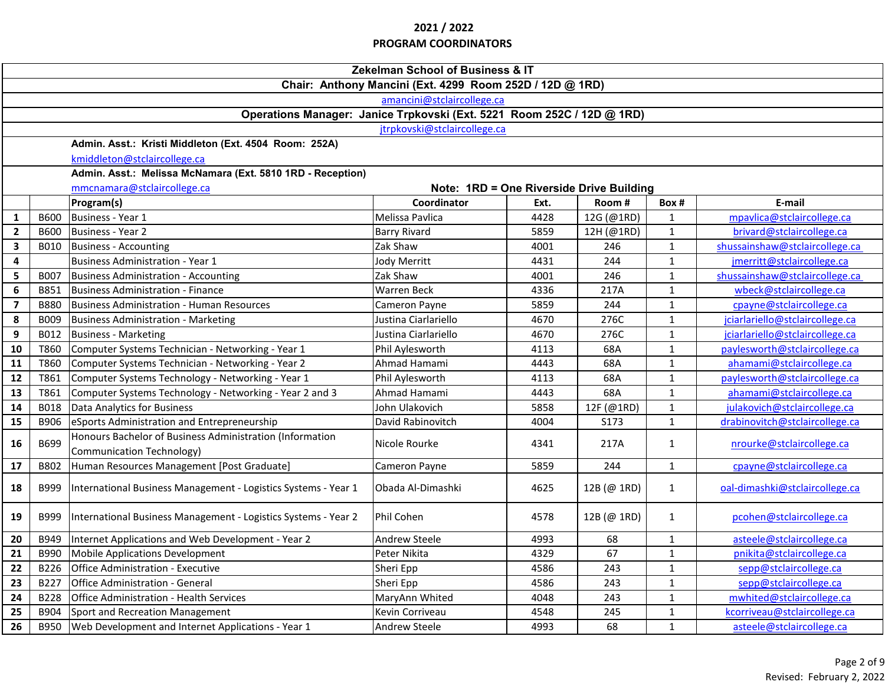|                                                          | Zekelman School of Business & IT                                        |                                                                                       |                      |      |             |              |                                 |  |  |
|----------------------------------------------------------|-------------------------------------------------------------------------|---------------------------------------------------------------------------------------|----------------------|------|-------------|--------------|---------------------------------|--|--|
| Chair: Anthony Mancini (Ext. 4299 Room 252D / 12D @ 1RD) |                                                                         |                                                                                       |                      |      |             |              |                                 |  |  |
|                                                          | amancini@stclaircollege.ca                                              |                                                                                       |                      |      |             |              |                                 |  |  |
|                                                          | Operations Manager: Janice Trpkovski (Ext. 5221 Room 252C / 12D @ 1RD)  |                                                                                       |                      |      |             |              |                                 |  |  |
|                                                          | jtrpkovski@stclaircollege.ca                                            |                                                                                       |                      |      |             |              |                                 |  |  |
|                                                          |                                                                         | Admin. Asst.: Kristi Middleton (Ext. 4504 Room: 252A)                                 |                      |      |             |              |                                 |  |  |
|                                                          | kmiddleton@stclaircollege.ca                                            |                                                                                       |                      |      |             |              |                                 |  |  |
|                                                          | Admin. Asst.: Melissa McNamara (Ext. 5810 1RD - Reception)              |                                                                                       |                      |      |             |              |                                 |  |  |
|                                                          | mmcnamara@stclaircollege.ca<br>Note: 1RD = One Riverside Drive Building |                                                                                       |                      |      |             |              |                                 |  |  |
|                                                          |                                                                         | Program(s)                                                                            | Coordinator          | Ext. | Room#       | Box#         | E-mail                          |  |  |
| $\mathbf{1}$                                             | <b>B600</b>                                                             | Business - Year 1                                                                     | Melissa Pavlica      | 4428 | 12G (@1RD)  | $\mathbf{1}$ | mpavlica@stclaircollege.ca      |  |  |
| $\mathbf{2}$                                             | <b>B600</b>                                                             | <b>Business - Year 2</b>                                                              | <b>Barry Rivard</b>  | 5859 | 12H (@1RD)  | $\mathbf{1}$ | brivard@stclaircollege.ca       |  |  |
| $\mathbf{3}$                                             | B010                                                                    | <b>Business - Accounting</b>                                                          | Zak Shaw             | 4001 | 246         | $\mathbf{1}$ | shussainshaw@stclaircollege.ca  |  |  |
| $\overline{\mathbf{4}}$                                  |                                                                         | <b>Business Administration - Year 1</b>                                               | Jody Merritt         | 4431 | 244         | $\mathbf{1}$ | jmerritt@stclaircollege.ca      |  |  |
| 5                                                        | <b>B007</b>                                                             | <b>Business Administration - Accounting</b>                                           | Zak Shaw             | 4001 | 246         | $\mathbf{1}$ | shussainshaw@stclaircollege.ca  |  |  |
| 6                                                        | B851                                                                    | Business Administration - Finance                                                     | <b>Warren Beck</b>   | 4336 | 217A        | $\mathbf{1}$ | wbeck@stclaircollege.ca         |  |  |
| $\overline{\mathbf{z}}$                                  | <b>B880</b>                                                             | <b>Business Administration - Human Resources</b>                                      | Cameron Payne        | 5859 | 244         | $\mathbf{1}$ | cpayne@stclaircollege.ca        |  |  |
| 8                                                        | B009                                                                    | <b>Business Administration - Marketing</b>                                            | Justina Ciarlariello | 4670 | 276C        | $\mathbf{1}$ | jciarlariello@stclaircollege.ca |  |  |
| 9                                                        | B012                                                                    | <b>Business - Marketing</b>                                                           | Justina Ciarlariello | 4670 | 276C        | $\mathbf{1}$ | jciarlariello@stclaircollege.ca |  |  |
| 10                                                       | T860                                                                    | Computer Systems Technician - Networking - Year 1                                     | Phil Aylesworth      | 4113 | 68A         | $\mathbf{1}$ | paylesworth@stclaircollege.ca   |  |  |
| 11                                                       | T860                                                                    | Computer Systems Technician - Networking - Year 2                                     | Ahmad Hamami         | 4443 | 68A         | $\mathbf{1}$ | ahamami@stclaircollege.ca       |  |  |
| 12                                                       | T861                                                                    | Computer Systems Technology - Networking - Year 1                                     | Phil Aylesworth      | 4113 | 68A         | $\mathbf{1}$ | paylesworth@stclaircollege.ca   |  |  |
| 13                                                       | T861                                                                    | Computer Systems Technology - Networking - Year 2 and 3                               | Ahmad Hamami         | 4443 | 68A         | $\mathbf{1}$ | ahamami@stclaircollege.ca       |  |  |
| 14                                                       | <b>B018</b>                                                             | Data Analytics for Business                                                           | John Ulakovich       | 5858 | 12F (@1RD)  | $\mathbf{1}$ | julakovich@stclaircollege.ca    |  |  |
| 15                                                       | B906                                                                    | eSports Administration and Entrepreneurship                                           | David Rabinovitch    | 4004 | S173        | $\mathbf{1}$ | drabinovitch@stclaircollege.ca  |  |  |
| 16                                                       | B699                                                                    | Honours Bachelor of Business Administration (Information<br>Communication Technology) | Nicole Rourke        | 4341 | 217A        | $\mathbf{1}$ | nrourke@stclaircollege.ca       |  |  |
| 17                                                       | B802                                                                    | Human Resources Management [Post Graduate]                                            | Cameron Payne        | 5859 | 244         | $\mathbf{1}$ | cpayne@stclaircollege.ca        |  |  |
| 18                                                       | B999                                                                    | International Business Management - Logistics Systems - Year 1                        | Obada Al-Dimashki    | 4625 | 12B (@ 1RD) | $\mathbf{1}$ | oal-dimashki@stclaircollege.ca  |  |  |
| 19                                                       | B999                                                                    | International Business Management - Logistics Systems - Year 2                        | Phil Cohen           | 4578 | 12B (@ 1RD) | $\mathbf{1}$ | pcohen@stclaircollege.ca        |  |  |
| 20                                                       | B949                                                                    | Internet Applications and Web Development - Year 2                                    | <b>Andrew Steele</b> | 4993 | 68          | $\mathbf{1}$ | asteele@stclaircollege.ca       |  |  |
| 21                                                       | B990                                                                    | <b>Mobile Applications Development</b>                                                | Peter Nikita         | 4329 | 67          | $\mathbf{1}$ | pnikita@stclaircollege.ca       |  |  |
| 22                                                       | B226                                                                    | Office Administration - Executive                                                     | Sheri Epp            | 4586 | 243         | $\mathbf{1}$ | sepp@stclaircollege.ca          |  |  |
| 23                                                       | B227                                                                    | Office Administration - General                                                       | Sheri Epp            | 4586 | 243         | $\mathbf{1}$ | sepp@stclaircollege.ca          |  |  |
| 24                                                       | <b>B228</b>                                                             | <b>Office Administration - Health Services</b>                                        | MaryAnn Whited       | 4048 | 243         | $\mathbf{1}$ | mwhited@stclaircollege.ca       |  |  |
| 25                                                       | B904                                                                    | Sport and Recreation Management                                                       | Kevin Corriveau      | 4548 | 245         | $\mathbf{1}$ | kcorriveau@stclaircollege.ca    |  |  |
| 26                                                       | <b>B950</b>                                                             | Web Development and Internet Applications - Year 1                                    | <b>Andrew Steele</b> | 4993 | 68          | $\mathbf{1}$ | asteele@stclaircollege.ca       |  |  |
|                                                          |                                                                         |                                                                                       |                      |      |             |              |                                 |  |  |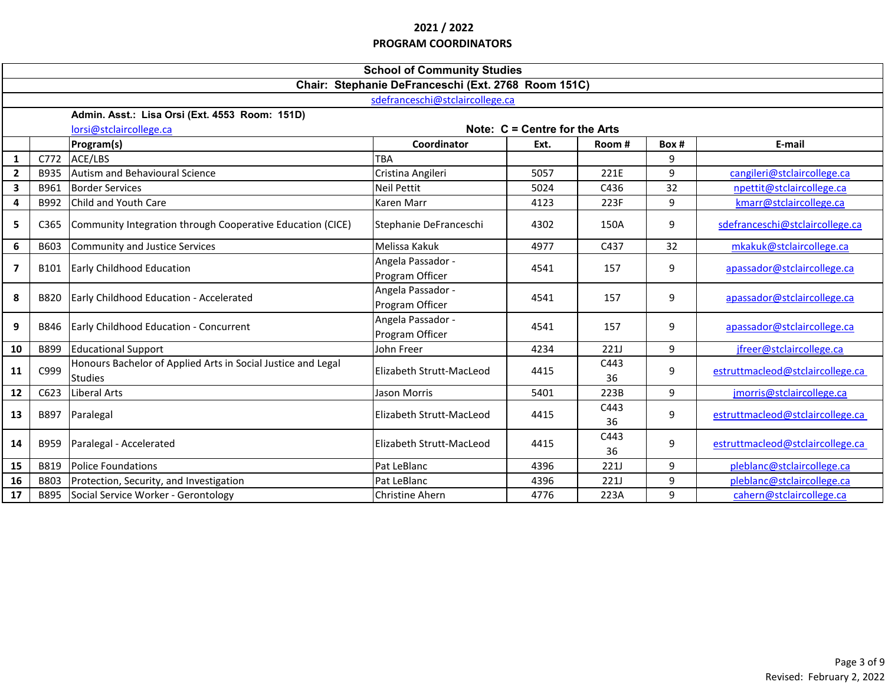|                                 | <b>School of Community Studies</b>                  |                                                                                |                                      |                                 |             |       |                                  |  |  |
|---------------------------------|-----------------------------------------------------|--------------------------------------------------------------------------------|--------------------------------------|---------------------------------|-------------|-------|----------------------------------|--|--|
|                                 | Chair: Stephanie DeFranceschi (Ext. 2768 Room 151C) |                                                                                |                                      |                                 |             |       |                                  |  |  |
| sdefranceschi@stclaircollege.ca |                                                     |                                                                                |                                      |                                 |             |       |                                  |  |  |
|                                 | Admin. Asst.: Lisa Orsi (Ext. 4553 Room: 151D)      |                                                                                |                                      |                                 |             |       |                                  |  |  |
|                                 |                                                     | lorsi@stclaircollege.ca                                                        |                                      | Note: $C =$ Centre for the Arts |             |       |                                  |  |  |
|                                 |                                                     | Program(s)                                                                     | Coordinator                          | Ext.                            | Room#       | Box # | E-mail                           |  |  |
| $\mathbf{1}$                    |                                                     | C772 ACE/LBS                                                                   | <b>TBA</b>                           |                                 |             | 9     |                                  |  |  |
| $\mathbf{2}$                    | B935                                                | Autism and Behavioural Science                                                 | Cristina Angileri                    | 5057                            | 221E        | 9     | cangileri@stclaircollege.ca      |  |  |
| $\mathbf{3}$                    | B961                                                | <b>Border Services</b>                                                         | <b>Neil Pettit</b>                   | 5024                            | C436        | 32    | npettit@stclaircollege.ca        |  |  |
| 4                               | B992                                                | <b>Child and Youth Care</b>                                                    | Karen Marr                           | 4123                            | 223F        | 9     | kmarr@stclaircollege.ca          |  |  |
| 5                               | C365                                                | Community Integration through Cooperative Education (CICE)                     | Stephanie DeFranceschi               | 4302                            | 150A        | 9     | sdefranceschi@stclaircollege.ca  |  |  |
| 6                               | B603                                                | Community and Justice Services                                                 | Melissa Kakuk                        | 4977                            | C437        | 32    | mkakuk@stclaircollege.ca         |  |  |
| $\overline{ }$                  | B101                                                | Early Childhood Education                                                      | Angela Passador -<br>Program Officer | 4541                            | 157         | 9     | apassador@stclaircollege.ca      |  |  |
| 8                               | <b>B820</b>                                         | Early Childhood Education - Accelerated                                        | Angela Passador -<br>Program Officer | 4541                            | 157         | 9     | apassador@stclaircollege.ca      |  |  |
| 9                               | B846                                                | Early Childhood Education - Concurrent                                         | Angela Passador -<br>Program Officer | 4541                            | 157         | 9     | apassador@stclaircollege.ca      |  |  |
| 10                              | B899                                                | <b>Educational Support</b>                                                     | John Freer                           | 4234                            | <b>221J</b> | 9     | jfreer@stclaircollege.ca         |  |  |
| 11                              | C999                                                | Honours Bachelor of Applied Arts in Social Justice and Legal<br><b>Studies</b> | Elizabeth Strutt-MacLeod             | 4415                            | C443<br>36  | 9     | estruttmacleod@stclaircollege.ca |  |  |
| 12                              | C623                                                | Liberal Arts                                                                   | Jason Morris                         | 5401                            | 223B        | 9     | jmorris@stclaircollege.ca        |  |  |
| 13                              | B897                                                | Paralegal                                                                      | Elizabeth Strutt-MacLeod             | 4415                            | C443<br>36  | 9     | estruttmacleod@stclaircollege.ca |  |  |
| 14                              | B959                                                | Paralegal - Accelerated                                                        | Elizabeth Strutt-MacLeod             | 4415                            | C443<br>36  | 9     | estruttmacleod@stclaircollege.ca |  |  |
| 15                              | B819                                                | <b>Police Foundations</b>                                                      | Pat LeBlanc                          | 4396                            | 221J        | 9     | pleblanc@stclaircollege.ca       |  |  |
| 16                              | B803                                                | Protection, Security, and Investigation                                        | Pat LeBlanc                          | 4396                            | 221J        | 9     | pleblanc@stclaircollege.ca       |  |  |
| 17                              | B895                                                | Social Service Worker - Gerontology                                            | <b>Christine Ahern</b>               | 4776                            | 223A        | 9     | cahern@stclaircollege.ca         |  |  |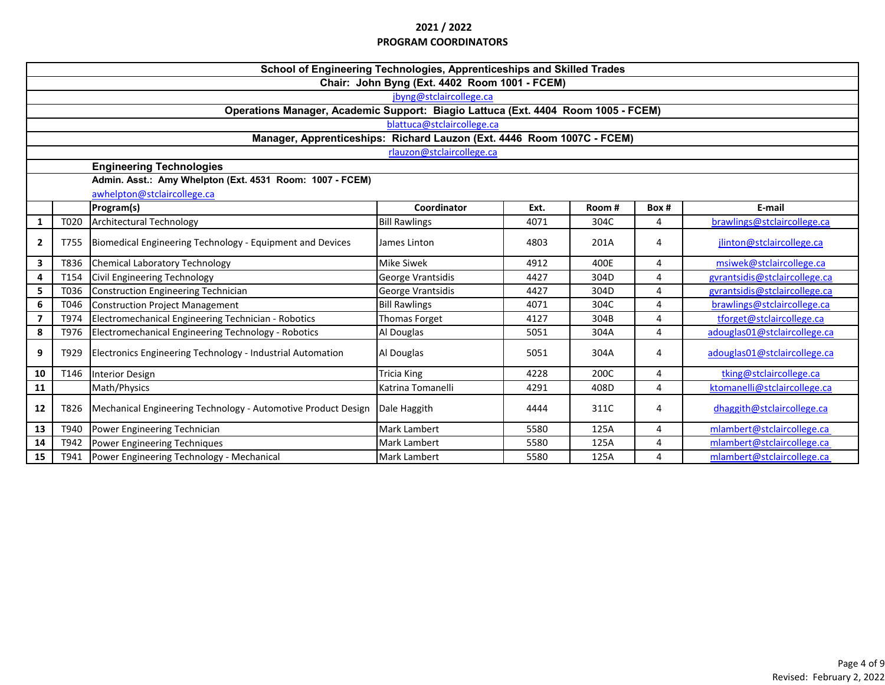|                         | School of Engineering Technologies, Apprenticeships and Skilled Trades            |                                                               |                            |      |       |       |                               |  |  |
|-------------------------|-----------------------------------------------------------------------------------|---------------------------------------------------------------|----------------------------|------|-------|-------|-------------------------------|--|--|
|                         | Chair: John Byng (Ext. 4402 Room 1001 - FCEM)                                     |                                                               |                            |      |       |       |                               |  |  |
|                         | jbyng@stclaircollege.ca                                                           |                                                               |                            |      |       |       |                               |  |  |
|                         | Operations Manager, Academic Support: Biagio Lattuca (Ext. 4404 Room 1005 - FCEM) |                                                               |                            |      |       |       |                               |  |  |
|                         |                                                                                   |                                                               | blattuca@stclaircollege.ca |      |       |       |                               |  |  |
|                         | Manager, Apprenticeships: Richard Lauzon (Ext. 4446 Room 1007C - FCEM)            |                                                               |                            |      |       |       |                               |  |  |
|                         | rlauzon@stclaircollege.ca                                                         |                                                               |                            |      |       |       |                               |  |  |
|                         |                                                                                   | <b>Engineering Technologies</b>                               |                            |      |       |       |                               |  |  |
|                         |                                                                                   | Admin. Asst.: Amy Whelpton (Ext. 4531 Room: 1007 - FCEM)      |                            |      |       |       |                               |  |  |
|                         |                                                                                   | awhelpton@stclaircollege.ca                                   |                            |      |       |       |                               |  |  |
|                         |                                                                                   | Program(s)                                                    | Coordinator                | Ext. | Room# | Box # | E-mail                        |  |  |
| $\mathbf{1}$            | T020                                                                              | <b>Architectural Technology</b>                               | <b>Bill Rawlings</b>       | 4071 | 304C  | 4     | brawlings@stclaircollege.ca   |  |  |
| $\mathbf{2}$            | T755                                                                              | Biomedical Engineering Technology - Equipment and Devices     | James Linton               | 4803 | 201A  | 4     | jlinton@stclaircollege.ca     |  |  |
| 3                       | T836                                                                              | <b>Chemical Laboratory Technology</b>                         | <b>Mike Siwek</b>          | 4912 | 400E  | 4     | msiwek@stclaircollege.ca      |  |  |
| 4                       | T154                                                                              | Civil Engineering Technology                                  | George Vrantsidis          | 4427 | 304D  | 4     | gyrantsidis@stclaircollege.ca |  |  |
| 5                       | T036                                                                              | <b>Construction Engineering Technician</b>                    | George Vrantsidis          | 4427 | 304D  | 4     | gyrantsidis@stclaircollege.ca |  |  |
| 6                       | T046                                                                              | <b>Construction Project Management</b>                        | <b>Bill Rawlings</b>       | 4071 | 304C  | 4     | brawlings@stclaircollege.ca   |  |  |
| $\overline{\mathbf{z}}$ | T974                                                                              | Electromechanical Engineering Technician - Robotics           | Thomas Forget              | 4127 | 304B  | 4     | tforget@stclaircollege.ca     |  |  |
| 8                       | T976                                                                              | Electromechanical Engineering Technology - Robotics           | Al Douglas                 | 5051 | 304A  | 4     | adouglas01@stclaircollege.ca  |  |  |
| 9                       | T929                                                                              | Electronics Engineering Technology - Industrial Automation    | Al Douglas                 | 5051 | 304A  | 4     | adouglas01@stclaircollege.ca  |  |  |
| 10                      | T146                                                                              | <b>Interior Design</b>                                        | Tricia King                | 4228 | 200C  | 4     | tking@stclaircollege.ca       |  |  |
| 11                      |                                                                                   | Math/Physics                                                  | Katrina Tomanelli          | 4291 | 408D  | 4     | ktomanelli@stclaircollege.ca  |  |  |
| 12                      | T826                                                                              | Mechanical Engineering Technology - Automotive Product Design | Dale Haggith               | 4444 | 311C  | 4     | dhaggith@stclaircollege.ca    |  |  |
| 13                      | T940                                                                              | Power Engineering Technician                                  | <b>Mark Lambert</b>        | 5580 | 125A  | 4     | mlambert@stclaircollege.ca    |  |  |
| 14                      | T942                                                                              | Power Engineering Techniques                                  | <b>Mark Lambert</b>        | 5580 | 125A  | 4     | mlambert@stclaircollege.ca    |  |  |
| 15                      | T941                                                                              | Power Engineering Technology - Mechanical                     | <b>Mark Lambert</b>        | 5580 | 125A  | 4     | mlambert@stclaircollege.ca    |  |  |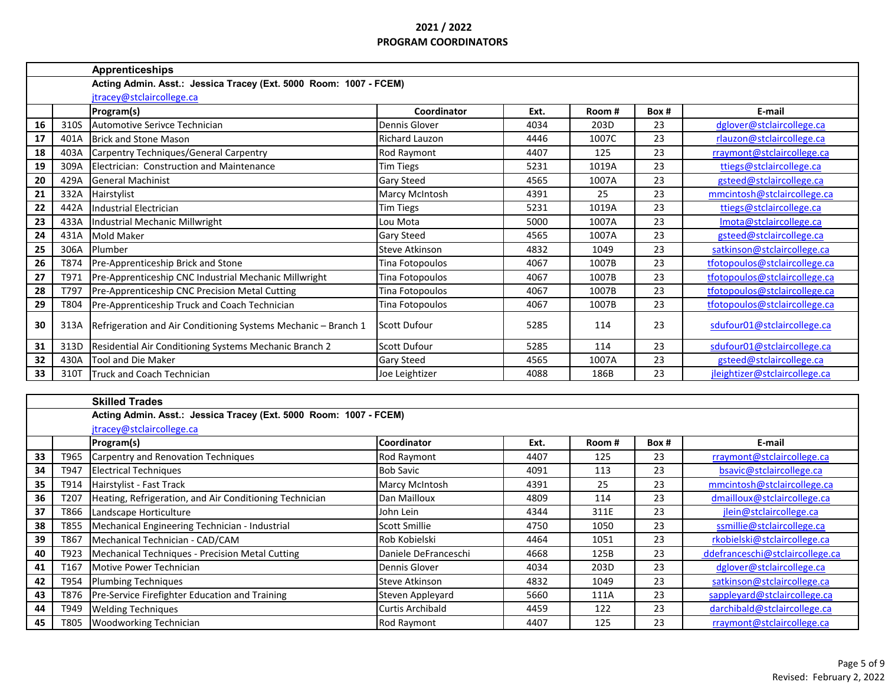|    |      | <b>Apprenticeships</b>                                            |                       |      |                      |       |                               |
|----|------|-------------------------------------------------------------------|-----------------------|------|----------------------|-------|-------------------------------|
|    |      | Acting Admin. Asst.: Jessica Tracey (Ext. 5000 Room: 1007 - FCEM) |                       |      |                      |       |                               |
|    |      | jtracey@stclaircollege.ca                                         |                       |      |                      |       |                               |
|    |      | Program(s)                                                        | Coordinator           | Ext. | Room#                | Box # | E-mail                        |
| 16 | 310S | Automotive Serivce Technician                                     | Dennis Glover         | 4034 | 203D                 | 23    | dglover@stclaircollege.ca     |
| 17 | 401A | <b>Brick and Stone Mason</b>                                      | <b>Richard Lauzon</b> | 4446 | 1007C                | 23    | rlauzon@stclaircollege.ca     |
| 18 | 403A | Carpentry Techniques/General Carpentry                            | Rod Raymont           | 4407 | 125                  | 23    | rraymont@stclaircollege.ca    |
| 19 | 309A | Electrician: Construction and Maintenance                         | <b>Tim Tiegs</b>      | 5231 | 1019A                | 23    | ttiegs@stclaircollege.ca      |
| 20 | 429A | <b>General Machinist</b>                                          | <b>Gary Steed</b>     | 4565 | 1007A                | 23    | gsteed@stclaircollege.ca      |
| 21 | 332A | Hairstylist                                                       | <b>Marcy McIntosh</b> | 4391 | 25                   | 23    | mmcintosh@stclaircollege.ca   |
| 22 | 442A | <b>Industrial Electrician</b>                                     | <b>Tim Tiegs</b>      | 5231 | 1019A                | 23    | ttiegs@stclaircollege.ca      |
| 23 | 433A | Industrial Mechanic Millwright                                    | Lou Mota              | 5000 | 1007A                | 23    | Imota@stclaircollege.ca       |
| 24 | 431A | Mold Maker                                                        | <b>Gary Steed</b>     | 4565 | 1007A                | 23    | gsteed@stclaircollege.ca      |
| 25 | 306A | Plumber                                                           | <b>Steve Atkinson</b> | 4832 | 1049                 | 23    | satkinson@stclaircollege.ca   |
| 26 | T874 | Pre-Apprenticeship Brick and Stone                                | Tina Fotopoulos       | 4067 | 1007B                | 23    | tfotopoulos@stclaircollege.ca |
| 27 | T971 | Pre-Apprenticeship CNC Industrial Mechanic Millwright             | Tina Fotopoulos       | 4067 | 1007B                | 23    | tfotopoulos@stclaircollege.ca |
| 28 | T797 | Pre-Apprenticeship CNC Precision Metal Cutting                    | Tina Fotopoulos       | 4067 | 1007B                | 23    | tfotopoulos@stclaircollege.ca |
| 29 | T804 | Pre-Apprenticeship Truck and Coach Technician                     | Tina Fotopoulos       | 4067 | 1007B                | 23    | tfotopoulos@stclaircollege.ca |
| 30 | 313A | Refrigeration and Air Conditioning Systems Mechanic - Branch 1    | <b>Scott Dufour</b>   | 5285 | 114                  | 23    | sdufour01@stclaircollege.ca   |
| 31 | 313D | Residential Air Conditioning Systems Mechanic Branch 2            | <b>Scott Dufour</b>   | 5285 | 114                  | 23    | sdufour01@stclaircollege.ca   |
| 32 | 430A | <b>Tool and Die Maker</b>                                         | <b>Gary Steed</b>     | 4565 | 1007A                | 23    | gsteed@stclaircollege.ca      |
| 33 | 310T | Truck and Coach Technician                                        | Joe Leightizer        | 4088 | 186B                 | 23    | jleightizer@stclaircollege.ca |
|    |      |                                                                   |                       |      |                      |       |                               |
|    |      | <b>Skilled Trades</b>                                             |                       |      |                      |       |                               |
|    |      | Acting Admin. Asst.: Jessica Tracey (Ext. 5000 Room: 1007 - FCEM) |                       |      |                      |       |                               |
|    |      | jtracey@stclaircollege.ca                                         |                       |      |                      |       |                               |
|    |      | Drarram(c)                                                        | <i>Coordinator</i>    | Fvt. | $P_{\Omega}$ $m$ $H$ | Row H | E-mail                        |

|    |      | <u>e. accipulation companies</u><br><b>Program(s)</b>   | <b>Coordinator</b>      | Ext. | Room # | Box # | E-mail                          |
|----|------|---------------------------------------------------------|-------------------------|------|--------|-------|---------------------------------|
| 33 | T965 | Carpentry and Renovation Techniques                     | Rod Raymont             | 4407 | 125    | 23    | rraymont@stclaircollege.ca      |
| 34 | T947 | <b>Electrical Techniques</b>                            | <b>Bob Savic</b>        | 4091 | 113    | 23    | bsavic@stclaircollege.ca        |
| 35 | T914 | Hairstylist - Fast Track                                | <b>Marcy McIntosh</b>   | 4391 | 25     | 23    | mmcintosh@stclaircollege.ca     |
| 36 | T207 | Heating, Refrigeration, and Air Conditioning Technician | Dan Mailloux            | 4809 | 114    | 23    | dmailloux@stclaircollege.ca     |
| 37 | T866 | Landscape Horticulture                                  | John Lein               | 4344 | 311E   | 23    | jlein@stclaircollege.ca         |
| 38 | T855 | Mechanical Engineering Technician - Industrial          | <b>Scott Smillie</b>    | 4750 | 1050   | 23    | ssmillie@stclaircollege.ca      |
| 39 | T867 | Mechanical Technician - CAD/CAM                         | Rob Kobielski           | 4464 | 1051   | 23    | rkobielski@stclaircollege.ca    |
| 40 | T923 | Mechanical Techniques - Precision Metal Cutting         | Daniele DeFranceschi    | 4668 | 125B   | 23    | ddefranceschi@stclaircollege.ca |
| 41 | T167 | Motive Power Technician                                 | Dennis Glover           | 4034 | 203D   | 23    | dglover@stclaircollege.ca       |
| 42 | T954 | <b>Plumbing Techniques</b>                              | Steve Atkinson          | 4832 | 1049   | 23    | satkinson@stclaircollege.ca     |
| 43 | T876 | Pre-Service Firefighter Education and Training          | Steven Appleyard        | 5660 | 111A   | 23    | sappleyard@stclaircollege.ca    |
| 44 | T949 | <b>Welding Techniques</b>                               | <b>Curtis Archibald</b> | 4459 | 122    | 23    | darchibald@stclaircollege.ca    |
| 45 | T805 | <b>Woodworking Technician</b>                           | Rod Raymont             | 4407 | 125    | 23    | rraymont@stclaircollege.ca      |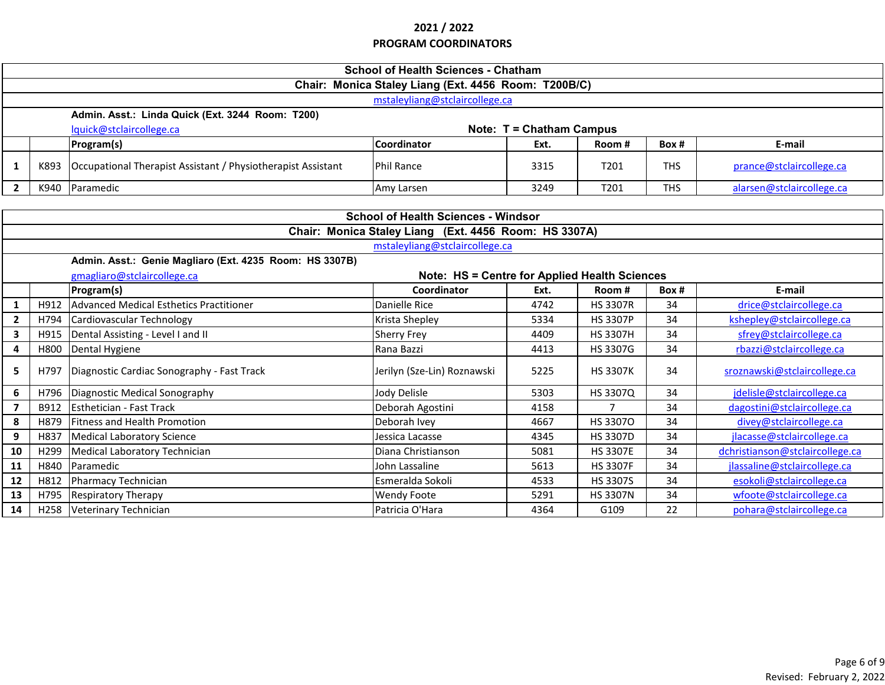|                | <b>School of Health Sciences - Chatham</b>              |                                                              |                                                       |      |                  |            |                                 |  |  |
|----------------|---------------------------------------------------------|--------------------------------------------------------------|-------------------------------------------------------|------|------------------|------------|---------------------------------|--|--|
|                | Chair: Monica Staley Liang (Ext. 4456 Room: T200B/C)    |                                                              |                                                       |      |                  |            |                                 |  |  |
|                | mstaleyliang@stclaircollege.ca                          |                                                              |                                                       |      |                  |            |                                 |  |  |
|                | Admin. Asst.: Linda Quick (Ext. 3244 Room: T200)        |                                                              |                                                       |      |                  |            |                                 |  |  |
|                | lquick@stclaircollege.ca<br>Note: T = Chatham Campus    |                                                              |                                                       |      |                  |            |                                 |  |  |
|                |                                                         | Program(s)                                                   | Coordinator                                           | Ext. | Room#            | Box#       | E-mail                          |  |  |
| 1              | K893                                                    | Occupational Therapist Assistant / Physiotherapist Assistant | <b>Phil Rance</b>                                     | 3315 | T <sub>201</sub> | <b>THS</b> | prance@stclaircollege.ca        |  |  |
| $\overline{2}$ | K940                                                    | Paramedic                                                    | Amy Larsen                                            | 3249 | T201             | <b>THS</b> | alarsen@stclaircollege.ca       |  |  |
|                |                                                         |                                                              |                                                       |      |                  |            |                                 |  |  |
|                |                                                         |                                                              | <b>School of Health Sciences - Windsor</b>            |      |                  |            |                                 |  |  |
|                |                                                         |                                                              | Chair: Monica Staley Liang (Ext. 4456 Room: HS 3307A) |      |                  |            |                                 |  |  |
|                |                                                         |                                                              | mstaleyliang@stclaircollege.ca                        |      |                  |            |                                 |  |  |
|                | Admin. Asst.: Genie Magliaro (Ext. 4235 Room: HS 3307B) |                                                              |                                                       |      |                  |            |                                 |  |  |
|                |                                                         | gmagliaro@stclaircollege.ca                                  | Note: HS = Centre for Applied Health Sciences         |      |                  |            |                                 |  |  |
|                |                                                         | Program(s)                                                   | Coordinator                                           | Ext. | Room#            | Box #      | E-mail                          |  |  |
| 1              | H912                                                    | Advanced Medical Esthetics Practitioner                      | Danielle Rice                                         | 4742 | <b>HS 3307R</b>  | 34         | drice@stclaircollege.ca         |  |  |
| $\mathbf{2}$   | H794                                                    | Cardiovascular Technology                                    | Krista Shepley                                        | 5334 | <b>HS 3307P</b>  | 34         | kshepley@stclaircollege.ca      |  |  |
| $\mathbf{3}$   | H915                                                    | Dental Assisting - Level I and II                            | <b>Sherry Frey</b>                                    | 4409 | <b>HS 3307H</b>  | 34         | sfrey@stclaircollege.ca         |  |  |
| 4              | H800                                                    | Dental Hygiene                                               | Rana Bazzi                                            | 4413 | HS 3307G         | 34         | rbazzi@stclaircollege.ca        |  |  |
| 5              | H797                                                    | Diagnostic Cardiac Sonography - Fast Track                   | Jerilyn (Sze-Lin) Roznawski                           | 5225 | <b>HS 3307K</b>  | 34         | sroznawski@stclaircollege.ca    |  |  |
| 6              | H796                                                    | Diagnostic Medical Sonography                                | Jody Delisle                                          | 5303 | HS 3307Q         | 34         | jdelisle@stclaircollege.ca      |  |  |
| $\overline{7}$ | B912                                                    | Esthetician - Fast Track                                     | Deborah Agostini                                      | 4158 | $\overline{7}$   | 34         | dagostini@stclaircollege.ca     |  |  |
| 8              | H879                                                    | <b>Fitness and Health Promotion</b>                          | Deborah Ivey                                          | 4667 | HS 33070         | 34         | divey@stclaircollege.ca         |  |  |
| 9              | H837                                                    | Medical Laboratory Science                                   | Jessica Lacasse                                       | 4345 | HS 3307D         | 34         | jlacasse@stclaircollege.ca      |  |  |
| 10             | H299                                                    | Medical Laboratory Technician                                | Diana Christianson                                    | 5081 | <b>HS 3307E</b>  | 34         | dchristianson@stclaircollege.ca |  |  |
| 11             | H840                                                    | Paramedic                                                    | John Lassaline                                        | 5613 | <b>HS 3307F</b>  | 34         | jlassaline@stclaircollege.ca    |  |  |
| 12             | H812                                                    | Pharmacy Technician                                          | Esmeralda Sokoli                                      | 4533 | <b>HS 3307S</b>  | 34         | esokoli@stclaircollege.ca       |  |  |
| 13             | H795                                                    | <b>Respiratory Therapy</b>                                   | <b>Wendy Foote</b>                                    | 5291 | <b>HS 3307N</b>  | 34         | wfoote@stclaircollege.ca        |  |  |
| 14             |                                                         | H258 Veterinary Technician                                   | Patricia O'Hara                                       | 4364 | G109             | 22         | pohara@stclaircollege.ca        |  |  |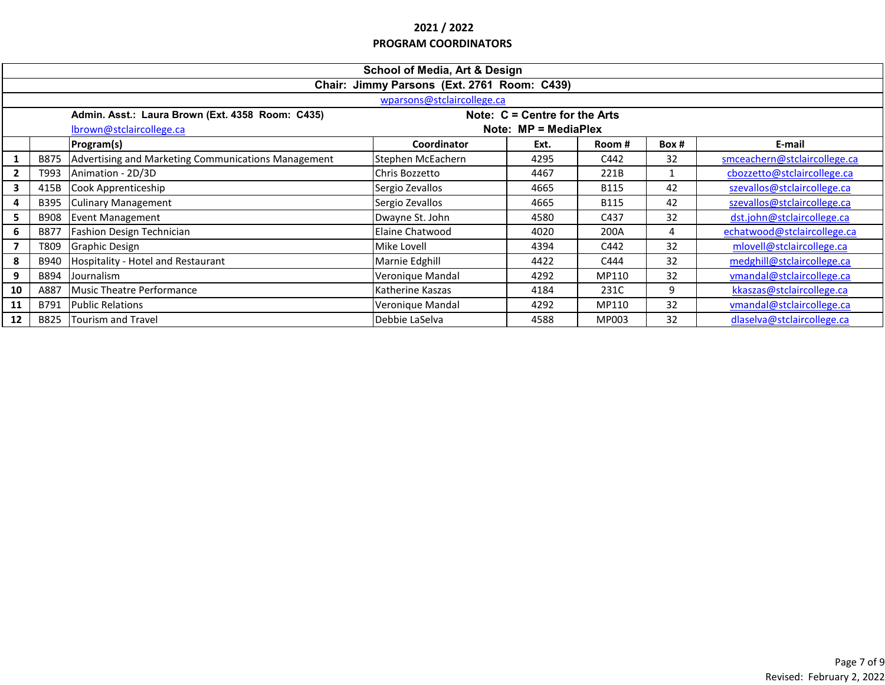|                            | <b>School of Media, Art &amp; Design</b>                                            |                                                     |                   |      |             |       |                              |  |  |  |
|----------------------------|-------------------------------------------------------------------------------------|-----------------------------------------------------|-------------------|------|-------------|-------|------------------------------|--|--|--|
|                            | Chair: Jimmy Parsons (Ext. 2761 Room: C439)                                         |                                                     |                   |      |             |       |                              |  |  |  |
| wparsons@stclaircollege.ca |                                                                                     |                                                     |                   |      |             |       |                              |  |  |  |
|                            | Admin. Asst.: Laura Brown (Ext. 4358 Room: C435)<br>Note: $C =$ Centre for the Arts |                                                     |                   |      |             |       |                              |  |  |  |
|                            | lbrown@stclaircollege.ca<br>Note: $MP = MedianHex$                                  |                                                     |                   |      |             |       |                              |  |  |  |
|                            |                                                                                     | Program(s)                                          | Coordinator       | Ext. | Room #      | Box # | E-mail                       |  |  |  |
|                            | B875                                                                                | Advertising and Marketing Communications Management | Stephen McEachern | 4295 | C442        | 32    | smceachern@stclaircollege.ca |  |  |  |
| $\mathbf{2}$               | T993                                                                                | Animation - 2D/3D                                   | Chris Bozzetto    | 4467 | 221B        |       | cbozzetto@stclaircollege.ca  |  |  |  |
| 3                          | 415B                                                                                | Cook Apprenticeship                                 | Sergio Zevallos   | 4665 | <b>B115</b> | 42    | szevallos@stclaircollege.ca  |  |  |  |
| 4                          | <b>B395</b>                                                                         | <b>Culinary Management</b>                          | Sergio Zevallos   | 4665 | <b>B115</b> | 42    | szevallos@stclaircollege.ca  |  |  |  |
| 5                          | <b>B908</b>                                                                         | <b>Event Management</b>                             | Dwayne St. John   | 4580 | C437        | 32    | dst.john@stclaircollege.ca   |  |  |  |
| 6                          | <b>B877</b>                                                                         | Fashion Design Technician                           | Elaine Chatwood   | 4020 | 200A        |       | echatwood@stclaircollege.ca  |  |  |  |
| $\overline{7}$             | T809                                                                                | <b>Graphic Design</b>                               | Mike Lovell       | 4394 | C442        | 32    | mlovell@stclaircollege.ca    |  |  |  |
| 8                          | B940                                                                                | Hospitality - Hotel and Restaurant                  | Marnie Edghill    | 4422 | C444        | 32    | medghill@stclaircollege.ca   |  |  |  |
| 9                          | B894                                                                                | Journalism                                          | Veronique Mandal  | 4292 | MP110       | 32    | vmandal@stclaircollege.ca    |  |  |  |
| 10                         | A887                                                                                | Music Theatre Performance                           | Katherine Kaszas  | 4184 | 231C        | 9     | kkaszas@stclaircollege.ca    |  |  |  |
| 11                         | B791                                                                                | <b>Public Relations</b>                             | Veronique Mandal  | 4292 | MP110       | 32    | vmandal@stclaircollege.ca    |  |  |  |
| 12                         | B825                                                                                | Tourism and Travel                                  | Debbie LaSelva    | 4588 | MP003       | 32    | dlaselva@stclaircollege.ca   |  |  |  |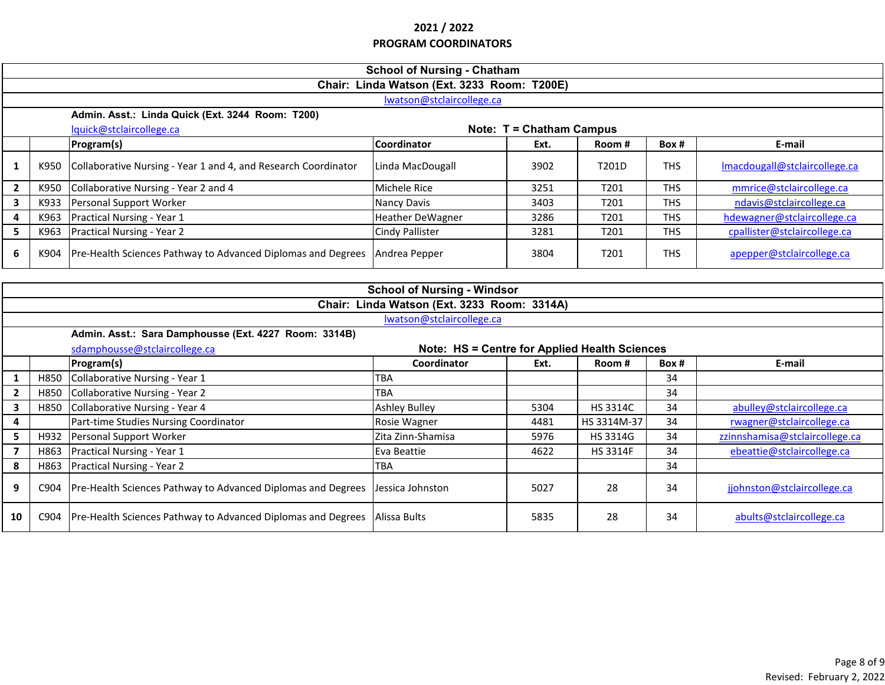|                                             | <b>School of Nursing - Chatham</b>                   |                                                                |                                               |                                    |                 |            |                                |  |  |  |  |
|---------------------------------------------|------------------------------------------------------|----------------------------------------------------------------|-----------------------------------------------|------------------------------------|-----------------|------------|--------------------------------|--|--|--|--|
|                                             | Chair: Linda Watson (Ext. 3233 Room: T200E)          |                                                                |                                               |                                    |                 |            |                                |  |  |  |  |
| lwatson@stclaircollege.ca                   |                                                      |                                                                |                                               |                                    |                 |            |                                |  |  |  |  |
|                                             | Admin. Asst.: Linda Quick (Ext. 3244 Room: T200)     |                                                                |                                               |                                    |                 |            |                                |  |  |  |  |
|                                             | lquick@stclaircollege.ca<br>Note: T = Chatham Campus |                                                                |                                               |                                    |                 |            |                                |  |  |  |  |
|                                             |                                                      | Program(s)                                                     | Coordinator                                   | Ext.                               | Room#           | Box #      | E-mail                         |  |  |  |  |
| 1                                           | K950                                                 | Collaborative Nursing - Year 1 and 4, and Research Coordinator | Linda MacDougall                              | 3902                               | T201D           | <b>THS</b> | Imacdougall@stclaircollege.ca  |  |  |  |  |
| $\mathbf{2}$                                | K950                                                 | Collaborative Nursing - Year 2 and 4                           | Michele Rice                                  | 3251                               | T201            | <b>THS</b> | mmrice@stclaircollege.ca       |  |  |  |  |
| $\mathbf{3}$                                | K933                                                 | Personal Support Worker                                        | Nancy Davis                                   | 3403                               | T201            | <b>THS</b> | ndavis@stclaircollege.ca       |  |  |  |  |
| 4                                           | K963                                                 | Practical Nursing - Year 1                                     | <b>Heather DeWagner</b>                       | 3286                               | T201            | <b>THS</b> | hdewagner@stclaircollege.ca    |  |  |  |  |
| 5                                           | K963                                                 | <b>Practical Nursing - Year 2</b>                              | <b>Cindy Pallister</b>                        | 3281                               | T201            | <b>THS</b> | cpallister@stclaircollege.ca   |  |  |  |  |
| 6                                           | K904                                                 | Pre-Health Sciences Pathway to Advanced Diplomas and Degrees   | Andrea Pepper                                 | 3804                               | T201            | <b>THS</b> | apepper@stclaircollege.ca      |  |  |  |  |
|                                             |                                                      |                                                                |                                               |                                    |                 |            |                                |  |  |  |  |
|                                             |                                                      |                                                                |                                               | <b>School of Nursing - Windsor</b> |                 |            |                                |  |  |  |  |
| Chair: Linda Watson (Ext. 3233 Room: 3314A) |                                                      |                                                                |                                               |                                    |                 |            |                                |  |  |  |  |
|                                             |                                                      |                                                                |                                               |                                    |                 |            |                                |  |  |  |  |
|                                             |                                                      |                                                                | lwatson@stclaircollege.ca                     |                                    |                 |            |                                |  |  |  |  |
|                                             |                                                      | Admin. Asst.: Sara Damphousse (Ext. 4227 Room: 3314B)          |                                               |                                    |                 |            |                                |  |  |  |  |
|                                             |                                                      | sdamphousse@stclaircollege.ca                                  | Note: HS = Centre for Applied Health Sciences |                                    |                 |            |                                |  |  |  |  |
|                                             |                                                      | Program(s)                                                     | Coordinator                                   | Ext.                               | Room#           | Box #      | E-mail                         |  |  |  |  |
| $\mathbf{1}$                                | H850                                                 | Collaborative Nursing - Year 1                                 | TBA                                           |                                    |                 | 34         |                                |  |  |  |  |
| $2^{\circ}$                                 | H850                                                 | Collaborative Nursing - Year 2                                 | TBA                                           |                                    |                 | 34         |                                |  |  |  |  |
| 3                                           | H850                                                 | Collaborative Nursing - Year 4                                 | <b>Ashley Bulley</b>                          | 5304                               | HS 3314C        | 34         | abulley@stclaircollege.ca      |  |  |  |  |
| 4                                           |                                                      | Part-time Studies Nursing Coordinator                          | Rosie Wagner                                  | 4481                               | HS 3314M-37     | 34         | rwagner@stclaircollege.ca      |  |  |  |  |
| 5 <sup>1</sup>                              | H932                                                 | Personal Support Worker                                        | Zita Zinn-Shamisa                             | 5976                               | HS 3314G        | 34         | zzinnshamisa@stclaircollege.ca |  |  |  |  |
|                                             | H863                                                 | Practical Nursing - Year 1                                     | Eva Beattie                                   | 4622                               | <b>HS 3314F</b> | 34         | ebeattie@stclaircollege.ca     |  |  |  |  |
| 8                                           | H863                                                 | Practical Nursing - Year 2                                     | TBA                                           |                                    |                 | 34         |                                |  |  |  |  |
| 9                                           | C904                                                 | Pre-Health Sciences Pathway to Advanced Diplomas and Degrees   | Jessica Johnston                              | 5027                               | 28              | 34         | jjohnston@stclaircollege.ca    |  |  |  |  |